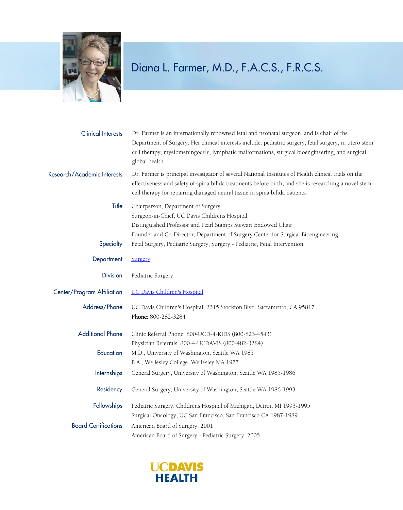

| <b>Clinical Interests</b>   | Dr. Farmer is an internationally renowned fetal and neonatal surgeon, and is chair of the<br>Department of Surgery. Her clinical interests include: pediatric surgery, fetal surgery, in utero stem<br>cell therapy, myelomeningocele, lymphatic malformations, surgical bioengineering, and surgical<br>global health. |
|-----------------------------|-------------------------------------------------------------------------------------------------------------------------------------------------------------------------------------------------------------------------------------------------------------------------------------------------------------------------|
| Research/Academic Interests | Dr. Farmer is principal investigator of several National Institutes of Health clinical trials on the<br>effectiveness and safety of spina bifida treatments before birth, and she is researching a novel stem<br>cell therapy for repairing damaged neural tissue in spina bifida patients.                             |
| Title                       | Chairperson, Department of Surgery<br>Surgeon-in-Chief, UC Davis Childrens Hospital<br>Distinguished Professor and Pearl Stamps Stewart Endowed Chair<br>Founder and Co-Director, Department of Surgery Center for Surgical Bioengineering                                                                              |
| Specialty                   | Fetal Surgery, Pediatric Surgery, Surgery - Pediatric, Fetal Intervention                                                                                                                                                                                                                                               |
| Department                  | Surgery                                                                                                                                                                                                                                                                                                                 |
| <b>Division</b>             | Pediatric Surgery                                                                                                                                                                                                                                                                                                       |
| Center/Program Affiliation  | <b>UC Davis Children's Hospital</b>                                                                                                                                                                                                                                                                                     |
| Address/Phone               | UC Davis Children's Hospital, 2315 Stockton Blvd. Sacramento, CA 95817<br>Phone: 800-282-3284                                                                                                                                                                                                                           |
| <b>Additional Phone</b>     | Clinic Referral Phone: 800-UCD-4-KIDS (800-823-4543)                                                                                                                                                                                                                                                                    |
|                             | Physician Referrals: 800-4-UCDAVIS (800-482-3284)                                                                                                                                                                                                                                                                       |
| Education                   | M.D., University of Washington, Seattle WA 1983                                                                                                                                                                                                                                                                         |
|                             | B.A., Wellesley College, Wellesley MA 1977                                                                                                                                                                                                                                                                              |
| <b>Internships</b>          | General Surgery, University of Washington, Seattle WA 1985-1986                                                                                                                                                                                                                                                         |
| Residency                   | General Surgery, University of Washington, Seattle WA 1986-1993                                                                                                                                                                                                                                                         |
| Fellowships                 | Pediatric Surgery, Childrens Hospital of Michigan, Detroit MI 1993-1995                                                                                                                                                                                                                                                 |
|                             | Surgical Oncology, UC San Francisco, San Francisco CA 1987-1989                                                                                                                                                                                                                                                         |
| <b>Board Certifications</b> | American Board of Surgery, 2001<br>American Board of Surgery - Pediatric Surgery, 2005                                                                                                                                                                                                                                  |

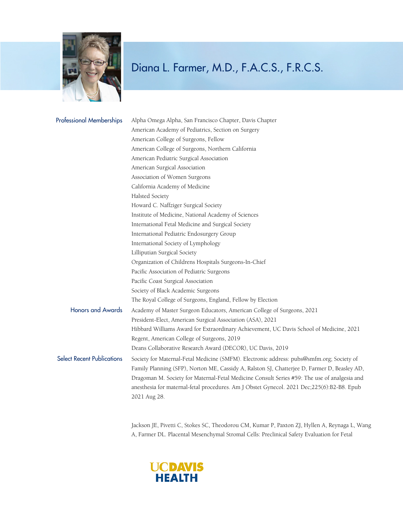

| <b>Professional Memberships</b>   | Alpha Omega Alpha, San Francisco Chapter, Davis Chapter                                      |
|-----------------------------------|----------------------------------------------------------------------------------------------|
|                                   | American Academy of Pediatrics, Section on Surgery                                           |
|                                   | American College of Surgeons, Fellow                                                         |
|                                   | American College of Surgeons, Northern California                                            |
|                                   | American Pediatric Surgical Association                                                      |
|                                   | American Surgical Association                                                                |
|                                   | Association of Women Surgeons                                                                |
|                                   | California Academy of Medicine                                                               |
|                                   | Halsted Society                                                                              |
|                                   | Howard C. Naffziger Surgical Society                                                         |
|                                   | Institute of Medicine, National Academy of Sciences                                          |
|                                   | International Fetal Medicine and Surgical Society                                            |
|                                   | International Pediatric Endosurgery Group                                                    |
|                                   | International Society of Lymphology                                                          |
|                                   | Lilliputian Surgical Society                                                                 |
|                                   | Organization of Childrens Hospitals Surgeons-In-Chief                                        |
|                                   | Pacific Association of Pediatric Surgeons                                                    |
|                                   | Pacific Coast Surgical Association                                                           |
|                                   | Society of Black Academic Surgeons                                                           |
|                                   | The Royal College of Surgeons, England, Fellow by Election                                   |
| <b>Honors and Awards</b>          | Academy of Master Surgeon Educators, American College of Surgeons, 2021                      |
|                                   | President-Elect, American Surgical Association (ASA), 2021                                   |
|                                   | Hibbard Williams Award for Extraordinary Achievement, UC Davis School of Medicine, 2021      |
|                                   | Regent, American College of Surgeons, 2019                                                   |
|                                   | Deans Collaborative Research Award (DECOR), UC Davis, 2019                                   |
| <b>Select Recent Publications</b> | Society for Maternal-Fetal Medicine (SMFM). Electronic address: pubs@smfm.org; Society of    |
|                                   | Family Planning (SFP), Norton ME, Cassidy A, Ralston SJ, Chatterjee D, Farmer D, Beasley AD, |
|                                   | Dragoman M. Society for Maternal-Fetal Medicine Consult Series #59: The use of analgesia and |
|                                   | anesthesia for maternal-fetal procedures. Am J Obstet Gynecol. 2021 Dec;225(6):B2-B8. Epub   |
|                                   | 2021 Aug 28.                                                                                 |
|                                   |                                                                                              |

Jackson JE, Pivetti C, Stokes SC, Theodorou CM, Kumar P, Paxton ZJ, Hyllen A, Reynaga L, Wang A, Farmer DL. Placental Mesenchymal Stromal Cells: Preclinical Safety Evaluation for Fetal

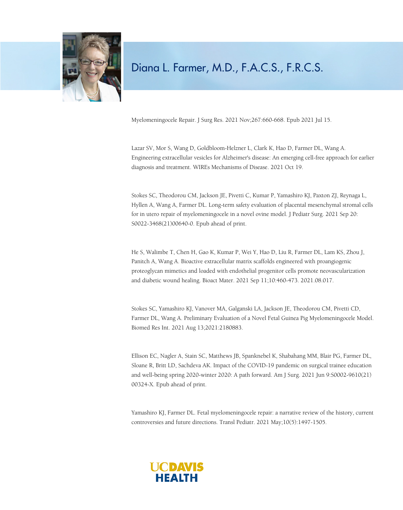

Myelomeningocele Repair. J Surg Res. 2021 Nov;267:660-668. Epub 2021 Jul 15.

Lazar SV, Mor S, Wang D, Goldbloom-Helzner L, Clark K, Hao D, Farmer DL, Wang A. Engineering extracellular vesicles for Alzheimer's disease: An emerging cell-free approach for earlier diagnosis and treatment. WIREs Mechanisms of Disease. 2021 Oct 19.

Stokes SC, Theodorou CM, Jackson JE, Pivetti C, Kumar P, Yamashiro KJ, Paxton ZJ, Reynaga L, Hyllen A, Wang A, Farmer DL. Long-term safety evaluation of placental mesenchymal stromal cells for in utero repair of myelomeningocele in a novel ovine model. J Pediatr Surg. 2021 Sep 20: S0022-3468(21)00640-0. Epub ahead of print.

He S, Walimbe T, Chen H, Gao K, Kumar P, Wei Y, Hao D, Liu R, Farmer DL, Lam KS, Zhou J, Panitch A, Wang A. Bioactive extracellular matrix scaffolds engineered with proangiogenic proteoglycan mimetics and loaded with endothelial progenitor cells promote neovascularization and diabetic wound healing. Bioact Mater. 2021 Sep 11;10:460-473. 2021.08.017.

Stokes SC, Yamashiro KJ, Vanover MA, Galganski LA, Jackson JE, Theodorou CM, Pivetti CD, Farmer DL, Wang A. Preliminary Evaluation of a Novel Fetal Guinea Pig Myelomeningocele Model. Biomed Res Int. 2021 Aug 13;2021:2180883.

Ellison EC, Nagler A, Stain SC, Matthews JB, Spanknebel K, Shabahang MM, Blair PG, Farmer DL, Sloane R, Britt LD, Sachdeva AK. Impact of the COVID-19 pandemic on surgical trainee education and well-being spring 2020-winter 2020: A path forward. Am J Surg. 2021 Jun 9:S0002-9610(21) 00324-X. Epub ahead of print.

Yamashiro KJ, Farmer DL. Fetal myelomeningocele repair: a narrative review of the history, current controversies and future directions. Transl Pediatr. 2021 May;10(5):1497-1505.